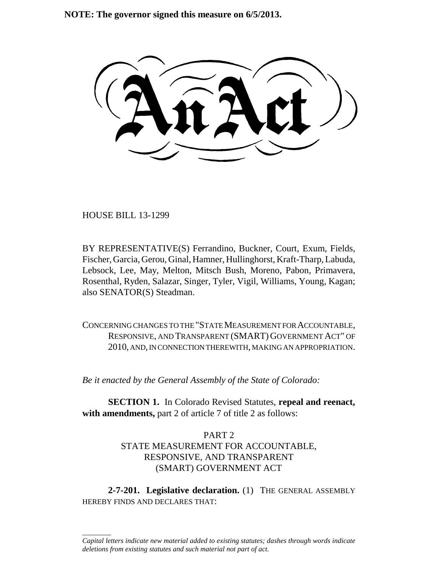**NOTE: The governor signed this measure on 6/5/2013.**

HOUSE BILL 13-1299

\_\_\_\_\_\_\_\_

BY REPRESENTATIVE(S) Ferrandino, Buckner, Court, Exum, Fields, Fischer, Garcia, Gerou, Ginal, Hamner, Hullinghorst, Kraft-Tharp, Labuda, Lebsock, Lee, May, Melton, Mitsch Bush, Moreno, Pabon, Primavera, Rosenthal, Ryden, Salazar, Singer, Tyler, Vigil, Williams, Young, Kagan; also SENATOR(S) Steadman.

CONCERNING CHANGES TO THE "STATE MEASUREMENT FOR ACCOUNTABLE, RESPONSIVE, AND TRANSPARENT (SMART) GOVERNMENT ACT" OF 2010, AND, IN CONNECTION THEREWITH, MAKING AN APPROPRIATION.

*Be it enacted by the General Assembly of the State of Colorado:*

**SECTION 1.** In Colorado Revised Statutes, **repeal and reenact,** with amendments, part 2 of article 7 of title 2 as follows:

# PART 2 STATE MEASUREMENT FOR ACCOUNTABLE, RESPONSIVE, AND TRANSPARENT (SMART) GOVERNMENT ACT

**2-7-201. Legislative declaration.** (1) THE GENERAL ASSEMBLY HEREBY FINDS AND DECLARES THAT:

*Capital letters indicate new material added to existing statutes; dashes through words indicate deletions from existing statutes and such material not part of act.*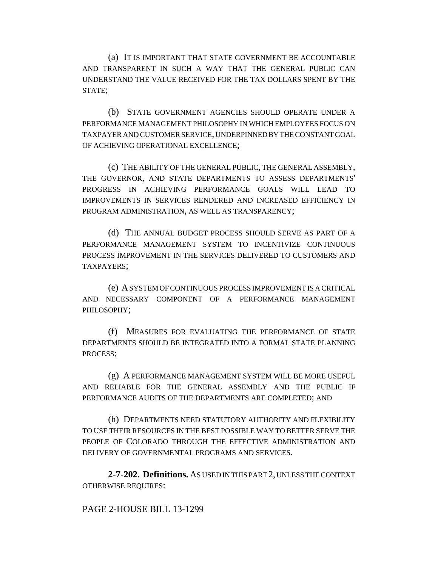(a) IT IS IMPORTANT THAT STATE GOVERNMENT BE ACCOUNTABLE AND TRANSPARENT IN SUCH A WAY THAT THE GENERAL PUBLIC CAN UNDERSTAND THE VALUE RECEIVED FOR THE TAX DOLLARS SPENT BY THE STATE;

(b) STATE GOVERNMENT AGENCIES SHOULD OPERATE UNDER A PERFORMANCE MANAGEMENT PHILOSOPHY IN WHICH EMPLOYEES FOCUS ON TAXPAYER AND CUSTOMER SERVICE, UNDERPINNED BY THE CONSTANT GOAL OF ACHIEVING OPERATIONAL EXCELLENCE;

(c) THE ABILITY OF THE GENERAL PUBLIC, THE GENERAL ASSEMBLY, THE GOVERNOR, AND STATE DEPARTMENTS TO ASSESS DEPARTMENTS' PROGRESS IN ACHIEVING PERFORMANCE GOALS WILL LEAD TO IMPROVEMENTS IN SERVICES RENDERED AND INCREASED EFFICIENCY IN PROGRAM ADMINISTRATION, AS WELL AS TRANSPARENCY;

(d) THE ANNUAL BUDGET PROCESS SHOULD SERVE AS PART OF A PERFORMANCE MANAGEMENT SYSTEM TO INCENTIVIZE CONTINUOUS PROCESS IMPROVEMENT IN THE SERVICES DELIVERED TO CUSTOMERS AND TAXPAYERS;

(e) A SYSTEM OF CONTINUOUS PROCESS IMPROVEMENT IS A CRITICAL AND NECESSARY COMPONENT OF A PERFORMANCE MANAGEMENT PHILOSOPHY;

(f) MEASURES FOR EVALUATING THE PERFORMANCE OF STATE DEPARTMENTS SHOULD BE INTEGRATED INTO A FORMAL STATE PLANNING PROCESS;

(g) A PERFORMANCE MANAGEMENT SYSTEM WILL BE MORE USEFUL AND RELIABLE FOR THE GENERAL ASSEMBLY AND THE PUBLIC IF PERFORMANCE AUDITS OF THE DEPARTMENTS ARE COMPLETED; AND

(h) DEPARTMENTS NEED STATUTORY AUTHORITY AND FLEXIBILITY TO USE THEIR RESOURCES IN THE BEST POSSIBLE WAY TO BETTER SERVE THE PEOPLE OF COLORADO THROUGH THE EFFECTIVE ADMINISTRATION AND DELIVERY OF GOVERNMENTAL PROGRAMS AND SERVICES.

**2-7-202. Definitions.** AS USED IN THIS PART 2, UNLESS THE CONTEXT OTHERWISE REQUIRES:

### PAGE 2-HOUSE BILL 13-1299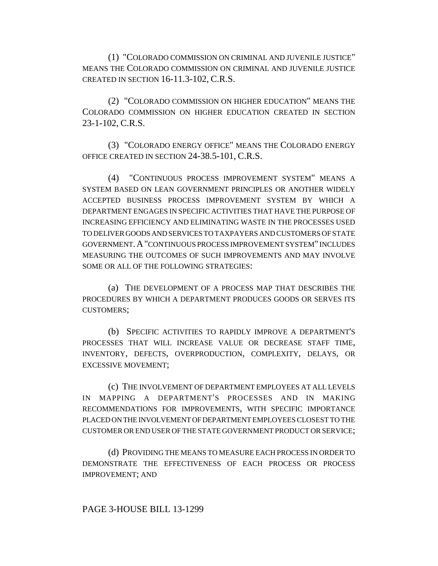(1) "COLORADO COMMISSION ON CRIMINAL AND JUVENILE JUSTICE" MEANS THE COLORADO COMMISSION ON CRIMINAL AND JUVENILE JUSTICE CREATED IN SECTION 16-11.3-102, C.R.S.

(2) "COLORADO COMMISSION ON HIGHER EDUCATION" MEANS THE COLORADO COMMISSION ON HIGHER EDUCATION CREATED IN SECTION 23-1-102, C.R.S.

(3) "COLORADO ENERGY OFFICE" MEANS THE COLORADO ENERGY OFFICE CREATED IN SECTION 24-38.5-101, C.R.S.

(4) "CONTINUOUS PROCESS IMPROVEMENT SYSTEM" MEANS A SYSTEM BASED ON LEAN GOVERNMENT PRINCIPLES OR ANOTHER WIDELY ACCEPTED BUSINESS PROCESS IMPROVEMENT SYSTEM BY WHICH A DEPARTMENT ENGAGES IN SPECIFIC ACTIVITIES THAT HAVE THE PURPOSE OF INCREASING EFFICIENCY AND ELIMINATING WASTE IN THE PROCESSES USED TO DELIVER GOODS AND SERVICES TO TAXPAYERS AND CUSTOMERS OF STATE GOVERNMENT.A"CONTINUOUS PROCESS IMPROVEMENT SYSTEM" INCLUDES MEASURING THE OUTCOMES OF SUCH IMPROVEMENTS AND MAY INVOLVE SOME OR ALL OF THE FOLLOWING STRATEGIES:

(a) THE DEVELOPMENT OF A PROCESS MAP THAT DESCRIBES THE PROCEDURES BY WHICH A DEPARTMENT PRODUCES GOODS OR SERVES ITS CUSTOMERS;

(b) SPECIFIC ACTIVITIES TO RAPIDLY IMPROVE A DEPARTMENT'S PROCESSES THAT WILL INCREASE VALUE OR DECREASE STAFF TIME, INVENTORY, DEFECTS, OVERPRODUCTION, COMPLEXITY, DELAYS, OR EXCESSIVE MOVEMENT;

(c) THE INVOLVEMENT OF DEPARTMENT EMPLOYEES AT ALL LEVELS IN MAPPING A DEPARTMENT'S PROCESSES AND IN MAKING RECOMMENDATIONS FOR IMPROVEMENTS, WITH SPECIFIC IMPORTANCE PLACED ON THE INVOLVEMENT OF DEPARTMENT EMPLOYEES CLOSEST TO THE CUSTOMER OR END USER OF THE STATE GOVERNMENT PRODUCT OR SERVICE;

(d) PROVIDING THE MEANS TO MEASURE EACH PROCESS IN ORDER TO DEMONSTRATE THE EFFECTIVENESS OF EACH PROCESS OR PROCESS IMPROVEMENT; AND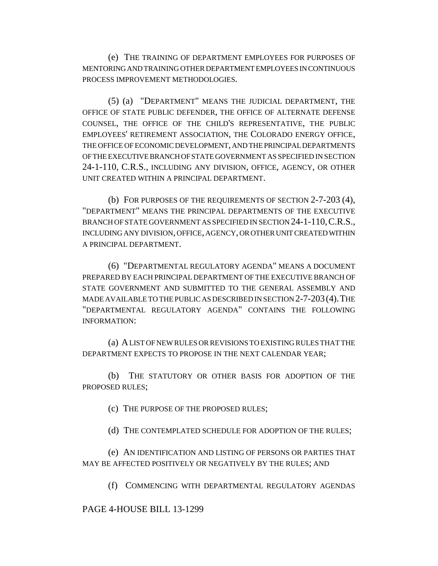(e) THE TRAINING OF DEPARTMENT EMPLOYEES FOR PURPOSES OF MENTORING AND TRAINING OTHER DEPARTMENT EMPLOYEES IN CONTINUOUS PROCESS IMPROVEMENT METHODOLOGIES.

(5) (a) "DEPARTMENT" MEANS THE JUDICIAL DEPARTMENT, THE OFFICE OF STATE PUBLIC DEFENDER, THE OFFICE OF ALTERNATE DEFENSE COUNSEL, THE OFFICE OF THE CHILD'S REPRESENTATIVE, THE PUBLIC EMPLOYEES' RETIREMENT ASSOCIATION, THE COLORADO ENERGY OFFICE, THE OFFICE OF ECONOMIC DEVELOPMENT, AND THE PRINCIPAL DEPARTMENTS OF THE EXECUTIVE BRANCH OF STATE GOVERNMENT AS SPECIFIED IN SECTION 24-1-110, C.R.S., INCLUDING ANY DIVISION, OFFICE, AGENCY, OR OTHER UNIT CREATED WITHIN A PRINCIPAL DEPARTMENT.

(b) FOR PURPOSES OF THE REQUIREMENTS OF SECTION 2-7-203 (4), "DEPARTMENT" MEANS THE PRINCIPAL DEPARTMENTS OF THE EXECUTIVE BRANCH OF STATE GOVERNMENT AS SPECIFIED IN SECTION 24-1-110,C.R.S., INCLUDING ANY DIVISION, OFFICE, AGENCY, OR OTHER UNIT CREATED WITHIN A PRINCIPAL DEPARTMENT.

(6) "DEPARTMENTAL REGULATORY AGENDA" MEANS A DOCUMENT PREPARED BY EACH PRINCIPAL DEPARTMENT OF THE EXECUTIVE BRANCH OF STATE GOVERNMENT AND SUBMITTED TO THE GENERAL ASSEMBLY AND MADE AVAILABLE TO THE PUBLIC AS DESCRIBED IN SECTION 2-7-203(4).THE "DEPARTMENTAL REGULATORY AGENDA" CONTAINS THE FOLLOWING INFORMATION:

(a) A LIST OF NEW RULES OR REVISIONS TO EXISTING RULES THAT THE DEPARTMENT EXPECTS TO PROPOSE IN THE NEXT CALENDAR YEAR;

(b) THE STATUTORY OR OTHER BASIS FOR ADOPTION OF THE PROPOSED RULES;

(c) THE PURPOSE OF THE PROPOSED RULES;

(d) THE CONTEMPLATED SCHEDULE FOR ADOPTION OF THE RULES;

(e) AN IDENTIFICATION AND LISTING OF PERSONS OR PARTIES THAT MAY BE AFFECTED POSITIVELY OR NEGATIVELY BY THE RULES; AND

(f) COMMENCING WITH DEPARTMENTAL REGULATORY AGENDAS

PAGE 4-HOUSE BILL 13-1299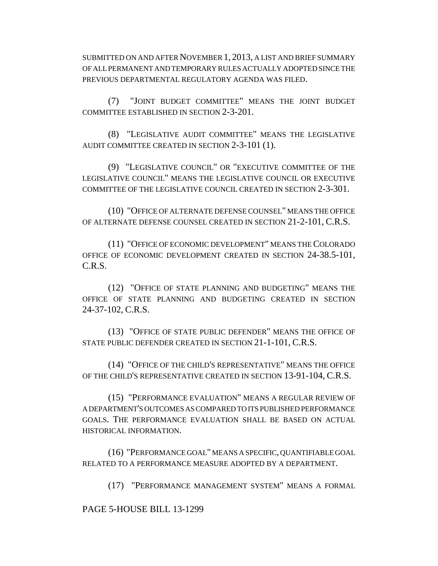SUBMITTED ON AND AFTER NOVEMBER 1, 2013, A LIST AND BRIEF SUMMARY OF ALL PERMANENT AND TEMPORARY RULES ACTUALLY ADOPTED SINCE THE PREVIOUS DEPARTMENTAL REGULATORY AGENDA WAS FILED.

(7) "JOINT BUDGET COMMITTEE" MEANS THE JOINT BUDGET COMMITTEE ESTABLISHED IN SECTION 2-3-201.

(8) "LEGISLATIVE AUDIT COMMITTEE" MEANS THE LEGISLATIVE AUDIT COMMITTEE CREATED IN SECTION 2-3-101 (1).

(9) "LEGISLATIVE COUNCIL" OR "EXECUTIVE COMMITTEE OF THE LEGISLATIVE COUNCIL" MEANS THE LEGISLATIVE COUNCIL OR EXECUTIVE COMMITTEE OF THE LEGISLATIVE COUNCIL CREATED IN SECTION 2-3-301.

(10) "OFFICE OF ALTERNATE DEFENSE COUNSEL" MEANS THE OFFICE OF ALTERNATE DEFENSE COUNSEL CREATED IN SECTION 21-2-101, C.R.S.

(11) "OFFICE OF ECONOMIC DEVELOPMENT" MEANS THE COLORADO OFFICE OF ECONOMIC DEVELOPMENT CREATED IN SECTION 24-38.5-101, C.R.S.

(12) "OFFICE OF STATE PLANNING AND BUDGETING" MEANS THE OFFICE OF STATE PLANNING AND BUDGETING CREATED IN SECTION 24-37-102, C.R.S.

(13) "OFFICE OF STATE PUBLIC DEFENDER" MEANS THE OFFICE OF STATE PUBLIC DEFENDER CREATED IN SECTION 21-1-101, C.R.S.

(14) "OFFICE OF THE CHILD'S REPRESENTATIVE" MEANS THE OFFICE OF THE CHILD'S REPRESENTATIVE CREATED IN SECTION 13-91-104, C.R.S.

(15) "PERFORMANCE EVALUATION" MEANS A REGULAR REVIEW OF A DEPARTMENT'S OUTCOMES AS COMPARED TO ITS PUBLISHED PERFORMANCE GOALS. THE PERFORMANCE EVALUATION SHALL BE BASED ON ACTUAL HISTORICAL INFORMATION.

(16) "PERFORMANCE GOAL" MEANS A SPECIFIC, QUANTIFIABLE GOAL RELATED TO A PERFORMANCE MEASURE ADOPTED BY A DEPARTMENT.

(17) "PERFORMANCE MANAGEMENT SYSTEM" MEANS A FORMAL

PAGE 5-HOUSE BILL 13-1299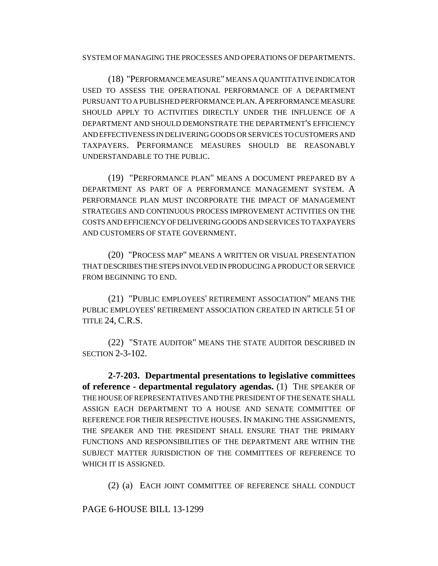SYSTEM OF MANAGING THE PROCESSES AND OPERATIONS OF DEPARTMENTS.

(18) "PERFORMANCE MEASURE" MEANS A QUANTITATIVE INDICATOR USED TO ASSESS THE OPERATIONAL PERFORMANCE OF A DEPARTMENT PURSUANT TO A PUBLISHED PERFORMANCE PLAN.A PERFORMANCE MEASURE SHOULD APPLY TO ACTIVITIES DIRECTLY UNDER THE INFLUENCE OF A DEPARTMENT AND SHOULD DEMONSTRATE THE DEPARTMENT'S EFFICIENCY AND EFFECTIVENESS IN DELIVERING GOODS OR SERVICES TO CUSTOMERS AND TAXPAYERS. PERFORMANCE MEASURES SHOULD BE REASONABLY UNDERSTANDABLE TO THE PUBLIC.

(19) "PERFORMANCE PLAN" MEANS A DOCUMENT PREPARED BY A DEPARTMENT AS PART OF A PERFORMANCE MANAGEMENT SYSTEM. A PERFORMANCE PLAN MUST INCORPORATE THE IMPACT OF MANAGEMENT STRATEGIES AND CONTINUOUS PROCESS IMPROVEMENT ACTIVITIES ON THE COSTS AND EFFICIENCY OF DELIVERING GOODS AND SERVICES TO TAXPAYERS AND CUSTOMERS OF STATE GOVERNMENT.

(20) "PROCESS MAP" MEANS A WRITTEN OR VISUAL PRESENTATION THAT DESCRIBES THE STEPS INVOLVED IN PRODUCING A PRODUCT OR SERVICE FROM BEGINNING TO END.

(21) "PUBLIC EMPLOYEES' RETIREMENT ASSOCIATION" MEANS THE PUBLIC EMPLOYEES' RETIREMENT ASSOCIATION CREATED IN ARTICLE 51 OF TITLE 24, C.R.S.

(22) "STATE AUDITOR" MEANS THE STATE AUDITOR DESCRIBED IN SECTION 2-3-102.

**2-7-203. Departmental presentations to legislative committees of reference - departmental regulatory agendas.** (1) THE SPEAKER OF THE HOUSE OF REPRESENTATIVES AND THE PRESIDENT OF THE SENATE SHALL ASSIGN EACH DEPARTMENT TO A HOUSE AND SENATE COMMITTEE OF REFERENCE FOR THEIR RESPECTIVE HOUSES. IN MAKING THE ASSIGNMENTS, THE SPEAKER AND THE PRESIDENT SHALL ENSURE THAT THE PRIMARY FUNCTIONS AND RESPONSIBILITIES OF THE DEPARTMENT ARE WITHIN THE SUBJECT MATTER JURISDICTION OF THE COMMITTEES OF REFERENCE TO WHICH IT IS ASSIGNED.

(2) (a) EACH JOINT COMMITTEE OF REFERENCE SHALL CONDUCT

PAGE 6-HOUSE BILL 13-1299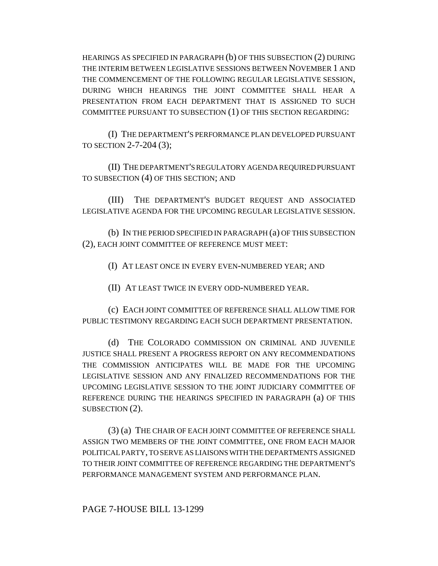HEARINGS AS SPECIFIED IN PARAGRAPH (b) OF THIS SUBSECTION (2) DURING THE INTERIM BETWEEN LEGISLATIVE SESSIONS BETWEEN NOVEMBER 1 AND THE COMMENCEMENT OF THE FOLLOWING REGULAR LEGISLATIVE SESSION, DURING WHICH HEARINGS THE JOINT COMMITTEE SHALL HEAR A PRESENTATION FROM EACH DEPARTMENT THAT IS ASSIGNED TO SUCH COMMITTEE PURSUANT TO SUBSECTION (1) OF THIS SECTION REGARDING:

(I) THE DEPARTMENT'S PERFORMANCE PLAN DEVELOPED PURSUANT TO SECTION 2-7-204 (3);

(II) THE DEPARTMENT'S REGULATORY AGENDA REQUIRED PURSUANT TO SUBSECTION (4) OF THIS SECTION; AND

(III) THE DEPARTMENT'S BUDGET REQUEST AND ASSOCIATED LEGISLATIVE AGENDA FOR THE UPCOMING REGULAR LEGISLATIVE SESSION.

(b) IN THE PERIOD SPECIFIED IN PARAGRAPH (a) OF THIS SUBSECTION (2), EACH JOINT COMMITTEE OF REFERENCE MUST MEET:

(I) AT LEAST ONCE IN EVERY EVEN-NUMBERED YEAR; AND

(II) AT LEAST TWICE IN EVERY ODD-NUMBERED YEAR.

(c) EACH JOINT COMMITTEE OF REFERENCE SHALL ALLOW TIME FOR PUBLIC TESTIMONY REGARDING EACH SUCH DEPARTMENT PRESENTATION.

(d) THE COLORADO COMMISSION ON CRIMINAL AND JUVENILE JUSTICE SHALL PRESENT A PROGRESS REPORT ON ANY RECOMMENDATIONS THE COMMISSION ANTICIPATES WILL BE MADE FOR THE UPCOMING LEGISLATIVE SESSION AND ANY FINALIZED RECOMMENDATIONS FOR THE UPCOMING LEGISLATIVE SESSION TO THE JOINT JUDICIARY COMMITTEE OF REFERENCE DURING THE HEARINGS SPECIFIED IN PARAGRAPH (a) OF THIS SUBSECTION (2).

(3) (a) THE CHAIR OF EACH JOINT COMMITTEE OF REFERENCE SHALL ASSIGN TWO MEMBERS OF THE JOINT COMMITTEE, ONE FROM EACH MAJOR POLITICAL PARTY, TO SERVE AS LIAISONS WITH THE DEPARTMENTS ASSIGNED TO THEIR JOINT COMMITTEE OF REFERENCE REGARDING THE DEPARTMENT'S PERFORMANCE MANAGEMENT SYSTEM AND PERFORMANCE PLAN.

PAGE 7-HOUSE BILL 13-1299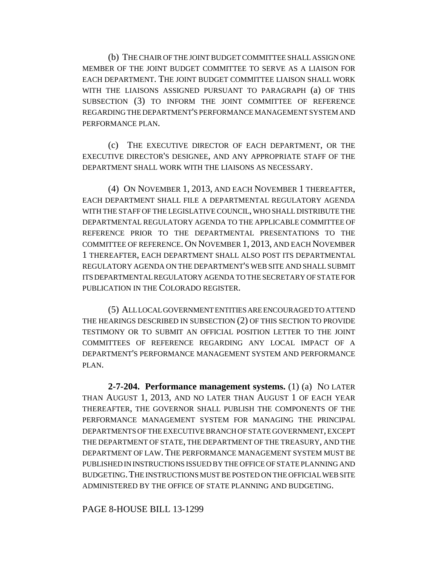(b) THE CHAIR OF THE JOINT BUDGET COMMITTEE SHALL ASSIGN ONE MEMBER OF THE JOINT BUDGET COMMITTEE TO SERVE AS A LIAISON FOR EACH DEPARTMENT. THE JOINT BUDGET COMMITTEE LIAISON SHALL WORK WITH THE LIAISONS ASSIGNED PURSUANT TO PARAGRAPH (a) OF THIS SUBSECTION (3) TO INFORM THE JOINT COMMITTEE OF REFERENCE REGARDING THE DEPARTMENT'S PERFORMANCE MANAGEMENT SYSTEM AND PERFORMANCE PLAN.

(c) THE EXECUTIVE DIRECTOR OF EACH DEPARTMENT, OR THE EXECUTIVE DIRECTOR'S DESIGNEE, AND ANY APPROPRIATE STAFF OF THE DEPARTMENT SHALL WORK WITH THE LIAISONS AS NECESSARY.

(4) ON NOVEMBER 1, 2013, AND EACH NOVEMBER 1 THEREAFTER, EACH DEPARTMENT SHALL FILE A DEPARTMENTAL REGULATORY AGENDA WITH THE STAFF OF THE LEGISLATIVE COUNCIL, WHO SHALL DISTRIBUTE THE DEPARTMENTAL REGULATORY AGENDA TO THE APPLICABLE COMMITTEE OF REFERENCE PRIOR TO THE DEPARTMENTAL PRESENTATIONS TO THE COMMITTEE OF REFERENCE. ON NOVEMBER 1, 2013, AND EACH NOVEMBER 1 THEREAFTER, EACH DEPARTMENT SHALL ALSO POST ITS DEPARTMENTAL REGULATORY AGENDA ON THE DEPARTMENT'S WEB SITE AND SHALL SUBMIT ITS DEPARTMENTAL REGULATORY AGENDA TO THE SECRETARY OF STATE FOR PUBLICATION IN THE COLORADO REGISTER.

(5) ALL LOCAL GOVERNMENT ENTITIES ARE ENCOURAGED TO ATTEND THE HEARINGS DESCRIBED IN SUBSECTION (2) OF THIS SECTION TO PROVIDE TESTIMONY OR TO SUBMIT AN OFFICIAL POSITION LETTER TO THE JOINT COMMITTEES OF REFERENCE REGARDING ANY LOCAL IMPACT OF A DEPARTMENT'S PERFORMANCE MANAGEMENT SYSTEM AND PERFORMANCE PLAN.

**2-7-204. Performance management systems.** (1) (a) NO LATER THAN AUGUST 1, 2013, AND NO LATER THAN AUGUST 1 OF EACH YEAR THEREAFTER, THE GOVERNOR SHALL PUBLISH THE COMPONENTS OF THE PERFORMANCE MANAGEMENT SYSTEM FOR MANAGING THE PRINCIPAL DEPARTMENTS OF THE EXECUTIVE BRANCH OF STATE GOVERNMENT, EXCEPT THE DEPARTMENT OF STATE, THE DEPARTMENT OF THE TREASURY, AND THE DEPARTMENT OF LAW. THE PERFORMANCE MANAGEMENT SYSTEM MUST BE PUBLISHED IN INSTRUCTIONS ISSUED BY THE OFFICE OF STATE PLANNING AND BUDGETING.THE INSTRUCTIONS MUST BE POSTED ON THE OFFICIAL WEB SITE ADMINISTERED BY THE OFFICE OF STATE PLANNING AND BUDGETING.

PAGE 8-HOUSE BILL 13-1299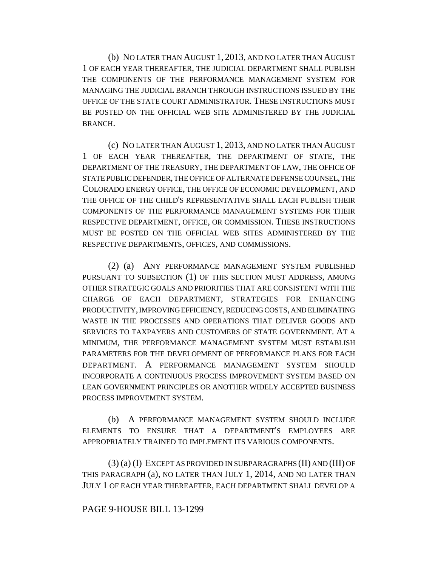(b) NO LATER THAN AUGUST 1, 2013, AND NO LATER THAN AUGUST 1 OF EACH YEAR THEREAFTER, THE JUDICIAL DEPARTMENT SHALL PUBLISH THE COMPONENTS OF THE PERFORMANCE MANAGEMENT SYSTEM FOR MANAGING THE JUDICIAL BRANCH THROUGH INSTRUCTIONS ISSUED BY THE OFFICE OF THE STATE COURT ADMINISTRATOR. THESE INSTRUCTIONS MUST BE POSTED ON THE OFFICIAL WEB SITE ADMINISTERED BY THE JUDICIAL BRANCH.

(c) NO LATER THAN AUGUST 1, 2013, AND NO LATER THAN AUGUST 1 OF EACH YEAR THEREAFTER, THE DEPARTMENT OF STATE, THE DEPARTMENT OF THE TREASURY, THE DEPARTMENT OF LAW, THE OFFICE OF STATE PUBLIC DEFENDER, THE OFFICE OF ALTERNATE DEFENSE COUNSEL, THE COLORADO ENERGY OFFICE, THE OFFICE OF ECONOMIC DEVELOPMENT, AND THE OFFICE OF THE CHILD'S REPRESENTATIVE SHALL EACH PUBLISH THEIR COMPONENTS OF THE PERFORMANCE MANAGEMENT SYSTEMS FOR THEIR RESPECTIVE DEPARTMENT, OFFICE, OR COMMISSION. THESE INSTRUCTIONS MUST BE POSTED ON THE OFFICIAL WEB SITES ADMINISTERED BY THE RESPECTIVE DEPARTMENTS, OFFICES, AND COMMISSIONS.

(2) (a) ANY PERFORMANCE MANAGEMENT SYSTEM PUBLISHED PURSUANT TO SUBSECTION (1) OF THIS SECTION MUST ADDRESS, AMONG OTHER STRATEGIC GOALS AND PRIORITIES THAT ARE CONSISTENT WITH THE CHARGE OF EACH DEPARTMENT, STRATEGIES FOR ENHANCING PRODUCTIVITY, IMPROVING EFFICIENCY, REDUCING COSTS, AND ELIMINATING WASTE IN THE PROCESSES AND OPERATIONS THAT DELIVER GOODS AND SERVICES TO TAXPAYERS AND CUSTOMERS OF STATE GOVERNMENT. AT A MINIMUM, THE PERFORMANCE MANAGEMENT SYSTEM MUST ESTABLISH PARAMETERS FOR THE DEVELOPMENT OF PERFORMANCE PLANS FOR EACH DEPARTMENT. A PERFORMANCE MANAGEMENT SYSTEM SHOULD INCORPORATE A CONTINUOUS PROCESS IMPROVEMENT SYSTEM BASED ON LEAN GOVERNMENT PRINCIPLES OR ANOTHER WIDELY ACCEPTED BUSINESS PROCESS IMPROVEMENT SYSTEM.

(b) A PERFORMANCE MANAGEMENT SYSTEM SHOULD INCLUDE ELEMENTS TO ENSURE THAT A DEPARTMENT'S EMPLOYEES ARE APPROPRIATELY TRAINED TO IMPLEMENT ITS VARIOUS COMPONENTS.

(3) (a) (I) EXCEPT AS PROVIDED IN SUBPARAGRAPHS (II) AND (III) OF THIS PARAGRAPH (a), NO LATER THAN JULY 1, 2014, AND NO LATER THAN JULY 1 OF EACH YEAR THEREAFTER, EACH DEPARTMENT SHALL DEVELOP A

### PAGE 9-HOUSE BILL 13-1299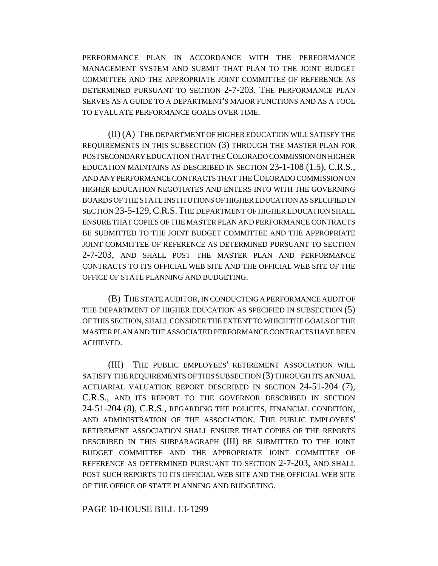PERFORMANCE PLAN IN ACCORDANCE WITH THE PERFORMANCE MANAGEMENT SYSTEM AND SUBMIT THAT PLAN TO THE JOINT BUDGET COMMITTEE AND THE APPROPRIATE JOINT COMMITTEE OF REFERENCE AS DETERMINED PURSUANT TO SECTION 2-7-203. THE PERFORMANCE PLAN SERVES AS A GUIDE TO A DEPARTMENT'S MAJOR FUNCTIONS AND AS A TOOL TO EVALUATE PERFORMANCE GOALS OVER TIME.

(II) (A) THE DEPARTMENT OF HIGHER EDUCATION WILL SATISFY THE REQUIREMENTS IN THIS SUBSECTION (3) THROUGH THE MASTER PLAN FOR POSTSECONDARY EDUCATION THAT THE COLORADO COMMISSION ON HIGHER EDUCATION MAINTAINS AS DESCRIBED IN SECTION 23-1-108 (1.5), C.R.S., AND ANY PERFORMANCE CONTRACTS THAT THE COLORADO COMMISSION ON HIGHER EDUCATION NEGOTIATES AND ENTERS INTO WITH THE GOVERNING BOARDS OF THE STATE INSTITUTIONS OF HIGHER EDUCATION AS SPECIFIED IN SECTION 23-5-129, C.R.S. THE DEPARTMENT OF HIGHER EDUCATION SHALL ENSURE THAT COPIES OF THE MASTER PLAN AND PERFORMANCE CONTRACTS BE SUBMITTED TO THE JOINT BUDGET COMMITTEE AND THE APPROPRIATE JOINT COMMITTEE OF REFERENCE AS DETERMINED PURSUANT TO SECTION 2-7-203, AND SHALL POST THE MASTER PLAN AND PERFORMANCE CONTRACTS TO ITS OFFICIAL WEB SITE AND THE OFFICIAL WEB SITE OF THE OFFICE OF STATE PLANNING AND BUDGETING.

(B) THE STATE AUDITOR, IN CONDUCTING A PERFORMANCE AUDIT OF THE DEPARTMENT OF HIGHER EDUCATION AS SPECIFIED IN SUBSECTION (5) OF THIS SECTION, SHALL CONSIDER THE EXTENT TO WHICH THE GOALS OF THE MASTER PLAN AND THE ASSOCIATED PERFORMANCE CONTRACTS HAVE BEEN ACHIEVED.

(III) THE PUBLIC EMPLOYEES' RETIREMENT ASSOCIATION WILL SATISFY THE REQUIREMENTS OF THIS SUBSECTION (3) THROUGH ITS ANNUAL ACTUARIAL VALUATION REPORT DESCRIBED IN SECTION 24-51-204 (7), C.R.S., AND ITS REPORT TO THE GOVERNOR DESCRIBED IN SECTION 24-51-204 (8), C.R.S., REGARDING THE POLICIES, FINANCIAL CONDITION, AND ADMINISTRATION OF THE ASSOCIATION. THE PUBLIC EMPLOYEES' RETIREMENT ASSOCIATION SHALL ENSURE THAT COPIES OF THE REPORTS DESCRIBED IN THIS SUBPARAGRAPH (III) BE SUBMITTED TO THE JOINT BUDGET COMMITTEE AND THE APPROPRIATE JOINT COMMITTEE OF REFERENCE AS DETERMINED PURSUANT TO SECTION 2-7-203, AND SHALL POST SUCH REPORTS TO ITS OFFICIAL WEB SITE AND THE OFFICIAL WEB SITE OF THE OFFICE OF STATE PLANNING AND BUDGETING.

### PAGE 10-HOUSE BILL 13-1299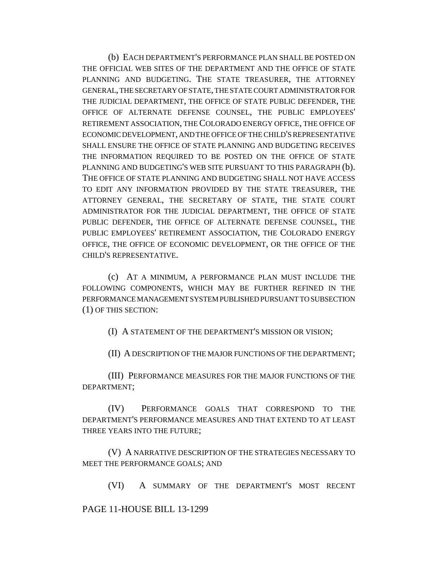(b) EACH DEPARTMENT'S PERFORMANCE PLAN SHALL BE POSTED ON THE OFFICIAL WEB SITES OF THE DEPARTMENT AND THE OFFICE OF STATE PLANNING AND BUDGETING. THE STATE TREASURER, THE ATTORNEY GENERAL, THE SECRETARY OF STATE, THE STATE COURT ADMINISTRATOR FOR THE JUDICIAL DEPARTMENT, THE OFFICE OF STATE PUBLIC DEFENDER, THE OFFICE OF ALTERNATE DEFENSE COUNSEL, THE PUBLIC EMPLOYEES' RETIREMENT ASSOCIATION, THE COLORADO ENERGY OFFICE, THE OFFICE OF ECONOMIC DEVELOPMENT, AND THE OFFICE OF THE CHILD'S REPRESENTATIVE SHALL ENSURE THE OFFICE OF STATE PLANNING AND BUDGETING RECEIVES THE INFORMATION REQUIRED TO BE POSTED ON THE OFFICE OF STATE PLANNING AND BUDGETING'S WEB SITE PURSUANT TO THIS PARAGRAPH (b). THE OFFICE OF STATE PLANNING AND BUDGETING SHALL NOT HAVE ACCESS TO EDIT ANY INFORMATION PROVIDED BY THE STATE TREASURER, THE ATTORNEY GENERAL, THE SECRETARY OF STATE, THE STATE COURT ADMINISTRATOR FOR THE JUDICIAL DEPARTMENT, THE OFFICE OF STATE PUBLIC DEFENDER, THE OFFICE OF ALTERNATE DEFENSE COUNSEL, THE PUBLIC EMPLOYEES' RETIREMENT ASSOCIATION, THE COLORADO ENERGY OFFICE, THE OFFICE OF ECONOMIC DEVELOPMENT, OR THE OFFICE OF THE CHILD'S REPRESENTATIVE.

(c) AT A MINIMUM, A PERFORMANCE PLAN MUST INCLUDE THE FOLLOWING COMPONENTS, WHICH MAY BE FURTHER REFINED IN THE PERFORMANCE MANAGEMENT SYSTEM PUBLISHED PURSUANT TO SUBSECTION (1) OF THIS SECTION:

(I) A STATEMENT OF THE DEPARTMENT'S MISSION OR VISION;

(II) A DESCRIPTION OF THE MAJOR FUNCTIONS OF THE DEPARTMENT;

(III) PERFORMANCE MEASURES FOR THE MAJOR FUNCTIONS OF THE DEPARTMENT;

(IV) PERFORMANCE GOALS THAT CORRESPOND TO THE DEPARTMENT'S PERFORMANCE MEASURES AND THAT EXTEND TO AT LEAST THREE YEARS INTO THE FUTURE;

(V) A NARRATIVE DESCRIPTION OF THE STRATEGIES NECESSARY TO MEET THE PERFORMANCE GOALS; AND

(VI) A SUMMARY OF THE DEPARTMENT'S MOST RECENT

## PAGE 11-HOUSE BILL 13-1299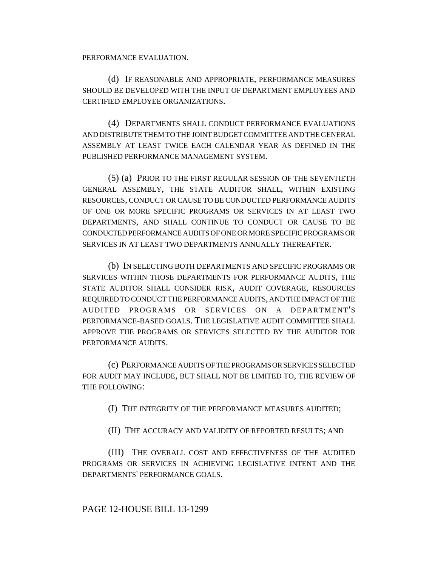PERFORMANCE EVALUATION.

(d) IF REASONABLE AND APPROPRIATE, PERFORMANCE MEASURES SHOULD BE DEVELOPED WITH THE INPUT OF DEPARTMENT EMPLOYEES AND CERTIFIED EMPLOYEE ORGANIZATIONS.

(4) DEPARTMENTS SHALL CONDUCT PERFORMANCE EVALUATIONS AND DISTRIBUTE THEM TO THE JOINT BUDGET COMMITTEE AND THE GENERAL ASSEMBLY AT LEAST TWICE EACH CALENDAR YEAR AS DEFINED IN THE PUBLISHED PERFORMANCE MANAGEMENT SYSTEM.

(5) (a) PRIOR TO THE FIRST REGULAR SESSION OF THE SEVENTIETH GENERAL ASSEMBLY, THE STATE AUDITOR SHALL, WITHIN EXISTING RESOURCES, CONDUCT OR CAUSE TO BE CONDUCTED PERFORMANCE AUDITS OF ONE OR MORE SPECIFIC PROGRAMS OR SERVICES IN AT LEAST TWO DEPARTMENTS, AND SHALL CONTINUE TO CONDUCT OR CAUSE TO BE CONDUCTED PERFORMANCE AUDITS OF ONE OR MORE SPECIFIC PROGRAMS OR SERVICES IN AT LEAST TWO DEPARTMENTS ANNUALLY THEREAFTER.

(b) IN SELECTING BOTH DEPARTMENTS AND SPECIFIC PROGRAMS OR SERVICES WITHIN THOSE DEPARTMENTS FOR PERFORMANCE AUDITS, THE STATE AUDITOR SHALL CONSIDER RISK, AUDIT COVERAGE, RESOURCES REQUIRED TO CONDUCT THE PERFORMANCE AUDITS, AND THE IMPACT OF THE AUDITED PROGRAMS OR SERVICES ON A DEPARTMENT'S PERFORMANCE-BASED GOALS. THE LEGISLATIVE AUDIT COMMITTEE SHALL APPROVE THE PROGRAMS OR SERVICES SELECTED BY THE AUDITOR FOR PERFORMANCE AUDITS.

(c) PERFORMANCE AUDITS OF THE PROGRAMS OR SERVICES SELECTED FOR AUDIT MAY INCLUDE, BUT SHALL NOT BE LIMITED TO, THE REVIEW OF THE FOLLOWING:

(I) THE INTEGRITY OF THE PERFORMANCE MEASURES AUDITED;

(II) THE ACCURACY AND VALIDITY OF REPORTED RESULTS; AND

(III) THE OVERALL COST AND EFFECTIVENESS OF THE AUDITED PROGRAMS OR SERVICES IN ACHIEVING LEGISLATIVE INTENT AND THE DEPARTMENTS' PERFORMANCE GOALS.

PAGE 12-HOUSE BILL 13-1299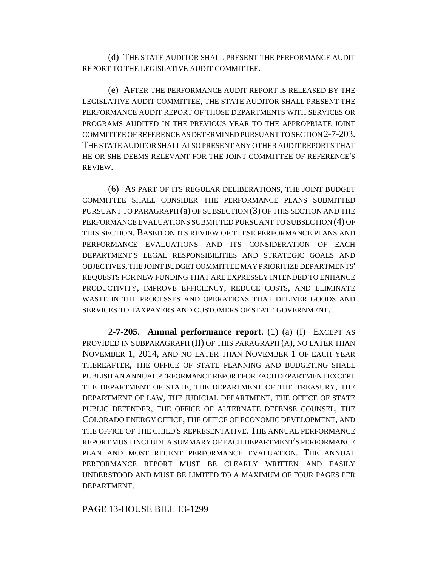(d) THE STATE AUDITOR SHALL PRESENT THE PERFORMANCE AUDIT REPORT TO THE LEGISLATIVE AUDIT COMMITTEE.

(e) AFTER THE PERFORMANCE AUDIT REPORT IS RELEASED BY THE LEGISLATIVE AUDIT COMMITTEE, THE STATE AUDITOR SHALL PRESENT THE PERFORMANCE AUDIT REPORT OF THOSE DEPARTMENTS WITH SERVICES OR PROGRAMS AUDITED IN THE PREVIOUS YEAR TO THE APPROPRIATE JOINT COMMITTEE OF REFERENCE AS DETERMINED PURSUANT TO SECTION 2-7-203. THE STATE AUDITOR SHALL ALSO PRESENT ANY OTHER AUDIT REPORTS THAT HE OR SHE DEEMS RELEVANT FOR THE JOINT COMMITTEE OF REFERENCE'S REVIEW.

(6) AS PART OF ITS REGULAR DELIBERATIONS, THE JOINT BUDGET COMMITTEE SHALL CONSIDER THE PERFORMANCE PLANS SUBMITTED PURSUANT TO PARAGRAPH (a) OF SUBSECTION (3) OF THIS SECTION AND THE PERFORMANCE EVALUATIONS SUBMITTED PURSUANT TO SUBSECTION (4) OF THIS SECTION. BASED ON ITS REVIEW OF THESE PERFORMANCE PLANS AND PERFORMANCE EVALUATIONS AND ITS CONSIDERATION OF EACH DEPARTMENT'S LEGAL RESPONSIBILITIES AND STRATEGIC GOALS AND OBJECTIVES, THE JOINT BUDGET COMMITTEE MAY PRIORITIZE DEPARTMENTS' REQUESTS FOR NEW FUNDING THAT ARE EXPRESSLY INTENDED TO ENHANCE PRODUCTIVITY, IMPROVE EFFICIENCY, REDUCE COSTS, AND ELIMINATE WASTE IN THE PROCESSES AND OPERATIONS THAT DELIVER GOODS AND SERVICES TO TAXPAYERS AND CUSTOMERS OF STATE GOVERNMENT.

**2-7-205. Annual performance report.** (1) (a) (I) EXCEPT AS PROVIDED IN SUBPARAGRAPH (II) OF THIS PARAGRAPH (A), NO LATER THAN NOVEMBER 1, 2014, AND NO LATER THAN NOVEMBER 1 OF EACH YEAR THEREAFTER, THE OFFICE OF STATE PLANNING AND BUDGETING SHALL PUBLISH AN ANNUAL PERFORMANCE REPORT FOR EACH DEPARTMENT EXCEPT THE DEPARTMENT OF STATE, THE DEPARTMENT OF THE TREASURY, THE DEPARTMENT OF LAW, THE JUDICIAL DEPARTMENT, THE OFFICE OF STATE PUBLIC DEFENDER, THE OFFICE OF ALTERNATE DEFENSE COUNSEL, THE COLORADO ENERGY OFFICE, THE OFFICE OF ECONOMIC DEVELOPMENT, AND THE OFFICE OF THE CHILD'S REPRESENTATIVE. THE ANNUAL PERFORMANCE REPORT MUST INCLUDE A SUMMARY OF EACH DEPARTMENT'S PERFORMANCE PLAN AND MOST RECENT PERFORMANCE EVALUATION. THE ANNUAL PERFORMANCE REPORT MUST BE CLEARLY WRITTEN AND EASILY UNDERSTOOD AND MUST BE LIMITED TO A MAXIMUM OF FOUR PAGES PER DEPARTMENT.

PAGE 13-HOUSE BILL 13-1299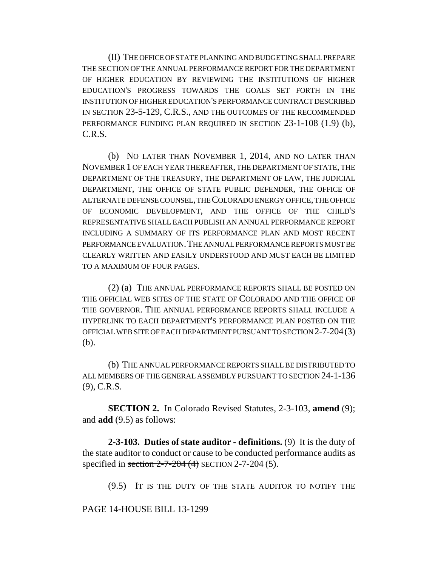(II) THE OFFICE OF STATE PLANNING AND BUDGETING SHALL PREPARE THE SECTION OF THE ANNUAL PERFORMANCE REPORT FOR THE DEPARTMENT OF HIGHER EDUCATION BY REVIEWING THE INSTITUTIONS OF HIGHER EDUCATION'S PROGRESS TOWARDS THE GOALS SET FORTH IN THE INSTITUTION OF HIGHER EDUCATION'S PERFORMANCE CONTRACT DESCRIBED IN SECTION 23-5-129, C.R.S., AND THE OUTCOMES OF THE RECOMMENDED PERFORMANCE FUNDING PLAN REQUIRED IN SECTION 23-1-108 (1.9) (b), C.R.S.

(b) NO LATER THAN NOVEMBER 1, 2014, AND NO LATER THAN NOVEMBER 1 OF EACH YEAR THEREAFTER, THE DEPARTMENT OF STATE, THE DEPARTMENT OF THE TREASURY, THE DEPARTMENT OF LAW, THE JUDICIAL DEPARTMENT, THE OFFICE OF STATE PUBLIC DEFENDER, THE OFFICE OF ALTERNATE DEFENSE COUNSEL, THE COLORADO ENERGY OFFICE, THE OFFICE OF ECONOMIC DEVELOPMENT, AND THE OFFICE OF THE CHILD'S REPRESENTATIVE SHALL EACH PUBLISH AN ANNUAL PERFORMANCE REPORT INCLUDING A SUMMARY OF ITS PERFORMANCE PLAN AND MOST RECENT PERFORMANCE EVALUATION.THE ANNUAL PERFORMANCE REPORTS MUST BE CLEARLY WRITTEN AND EASILY UNDERSTOOD AND MUST EACH BE LIMITED TO A MAXIMUM OF FOUR PAGES.

(2) (a) THE ANNUAL PERFORMANCE REPORTS SHALL BE POSTED ON THE OFFICIAL WEB SITES OF THE STATE OF COLORADO AND THE OFFICE OF THE GOVERNOR. THE ANNUAL PERFORMANCE REPORTS SHALL INCLUDE A HYPERLINK TO EACH DEPARTMENT'S PERFORMANCE PLAN POSTED ON THE OFFICIAL WEB SITE OF EACH DEPARTMENT PURSUANT TO SECTION 2-7-204(3) (b).

(b) THE ANNUAL PERFORMANCE REPORTS SHALL BE DISTRIBUTED TO ALL MEMBERS OF THE GENERAL ASSEMBLY PURSUANT TO SECTION 24-1-136 (9), C.R.S.

**SECTION 2.** In Colorado Revised Statutes, 2-3-103, **amend** (9); and **add** (9.5) as follows:

**2-3-103. Duties of state auditor - definitions.** (9) It is the duty of the state auditor to conduct or cause to be conducted performance audits as specified in section  $2-7-204$  (4) SECTION 2-7-204 (5).

(9.5) IT IS THE DUTY OF THE STATE AUDITOR TO NOTIFY THE

PAGE 14-HOUSE BILL 13-1299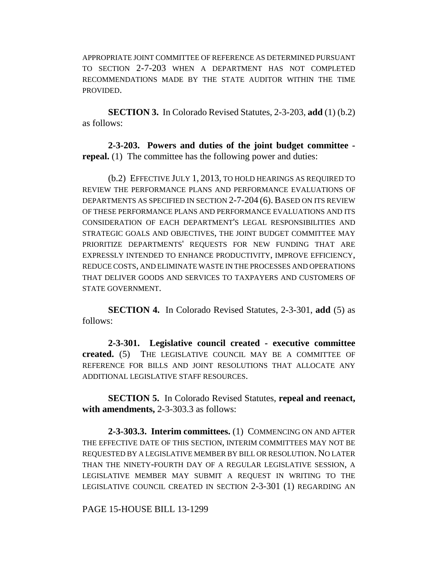APPROPRIATE JOINT COMMITTEE OF REFERENCE AS DETERMINED PURSUANT TO SECTION 2-7-203 WHEN A DEPARTMENT HAS NOT COMPLETED RECOMMENDATIONS MADE BY THE STATE AUDITOR WITHIN THE TIME PROVIDED.

**SECTION 3.** In Colorado Revised Statutes, 2-3-203, **add** (1) (b.2) as follows:

**2-3-203. Powers and duties of the joint budget committee repeal.** (1) The committee has the following power and duties:

(b.2) EFFECTIVE JULY 1, 2013, TO HOLD HEARINGS AS REQUIRED TO REVIEW THE PERFORMANCE PLANS AND PERFORMANCE EVALUATIONS OF DEPARTMENTS AS SPECIFIED IN SECTION 2-7-204 (6). BASED ON ITS REVIEW OF THESE PERFORMANCE PLANS AND PERFORMANCE EVALUATIONS AND ITS CONSIDERATION OF EACH DEPARTMENT'S LEGAL RESPONSIBILITIES AND STRATEGIC GOALS AND OBJECTIVES, THE JOINT BUDGET COMMITTEE MAY PRIORITIZE DEPARTMENTS' REQUESTS FOR NEW FUNDING THAT ARE EXPRESSLY INTENDED TO ENHANCE PRODUCTIVITY, IMPROVE EFFICIENCY, REDUCE COSTS, AND ELIMINATE WASTE IN THE PROCESSES AND OPERATIONS THAT DELIVER GOODS AND SERVICES TO TAXPAYERS AND CUSTOMERS OF STATE GOVERNMENT.

**SECTION 4.** In Colorado Revised Statutes, 2-3-301, **add** (5) as follows:

**2-3-301. Legislative council created - executive committee created.** (5) THE LEGISLATIVE COUNCIL MAY BE A COMMITTEE OF REFERENCE FOR BILLS AND JOINT RESOLUTIONS THAT ALLOCATE ANY ADDITIONAL LEGISLATIVE STAFF RESOURCES.

**SECTION 5.** In Colorado Revised Statutes, **repeal and reenact, with amendments,** 2-3-303.3 as follows:

**2-3-303.3. Interim committees.** (1) COMMENCING ON AND AFTER THE EFFECTIVE DATE OF THIS SECTION, INTERIM COMMITTEES MAY NOT BE REQUESTED BY A LEGISLATIVE MEMBER BY BILL OR RESOLUTION. NO LATER THAN THE NINETY-FOURTH DAY OF A REGULAR LEGISLATIVE SESSION, A LEGISLATIVE MEMBER MAY SUBMIT A REQUEST IN WRITING TO THE LEGISLATIVE COUNCIL CREATED IN SECTION 2-3-301 (1) REGARDING AN

PAGE 15-HOUSE BILL 13-1299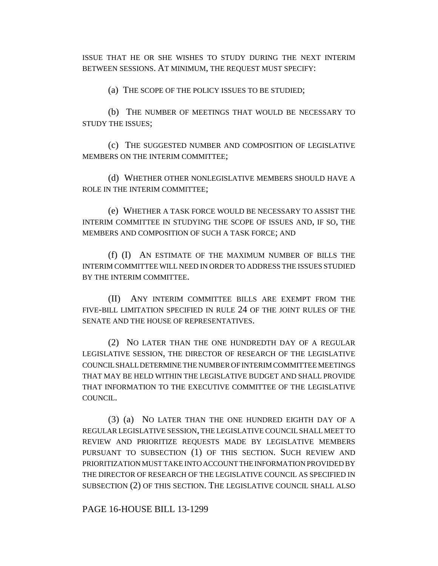ISSUE THAT HE OR SHE WISHES TO STUDY DURING THE NEXT INTERIM BETWEEN SESSIONS. AT MINIMUM, THE REQUEST MUST SPECIFY:

(a) THE SCOPE OF THE POLICY ISSUES TO BE STUDIED;

(b) THE NUMBER OF MEETINGS THAT WOULD BE NECESSARY TO STUDY THE ISSUES;

(c) THE SUGGESTED NUMBER AND COMPOSITION OF LEGISLATIVE MEMBERS ON THE INTERIM COMMITTEE;

(d) WHETHER OTHER NONLEGISLATIVE MEMBERS SHOULD HAVE A ROLE IN THE INTERIM COMMITTEE;

(e) WHETHER A TASK FORCE WOULD BE NECESSARY TO ASSIST THE INTERIM COMMITTEE IN STUDYING THE SCOPE OF ISSUES AND, IF SO, THE MEMBERS AND COMPOSITION OF SUCH A TASK FORCE; AND

(f) (I) AN ESTIMATE OF THE MAXIMUM NUMBER OF BILLS THE INTERIM COMMITTEE WILL NEED IN ORDER TO ADDRESS THE ISSUES STUDIED BY THE INTERIM COMMITTEE.

(II) ANY INTERIM COMMITTEE BILLS ARE EXEMPT FROM THE FIVE-BILL LIMITATION SPECIFIED IN RULE 24 OF THE JOINT RULES OF THE SENATE AND THE HOUSE OF REPRESENTATIVES.

(2) NO LATER THAN THE ONE HUNDREDTH DAY OF A REGULAR LEGISLATIVE SESSION, THE DIRECTOR OF RESEARCH OF THE LEGISLATIVE COUNCIL SHALL DETERMINE THE NUMBER OF INTERIM COMMITTEE MEETINGS THAT MAY BE HELD WITHIN THE LEGISLATIVE BUDGET AND SHALL PROVIDE THAT INFORMATION TO THE EXECUTIVE COMMITTEE OF THE LEGISLATIVE COUNCIL.

(3) (a) NO LATER THAN THE ONE HUNDRED EIGHTH DAY OF A REGULAR LEGISLATIVE SESSION, THE LEGISLATIVE COUNCIL SHALL MEET TO REVIEW AND PRIORITIZE REQUESTS MADE BY LEGISLATIVE MEMBERS PURSUANT TO SUBSECTION (1) OF THIS SECTION. SUCH REVIEW AND PRIORITIZATION MUST TAKE INTO ACCOUNT THE INFORMATION PROVIDED BY THE DIRECTOR OF RESEARCH OF THE LEGISLATIVE COUNCIL AS SPECIFIED IN SUBSECTION (2) OF THIS SECTION. THE LEGISLATIVE COUNCIL SHALL ALSO

PAGE 16-HOUSE BILL 13-1299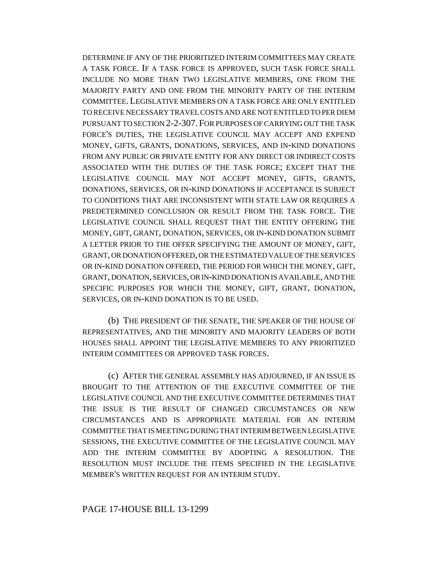DETERMINE IF ANY OF THE PRIORITIZED INTERIM COMMITTEES MAY CREATE A TASK FORCE. IF A TASK FORCE IS APPROVED, SUCH TASK FORCE SHALL INCLUDE NO MORE THAN TWO LEGISLATIVE MEMBERS, ONE FROM THE MAJORITY PARTY AND ONE FROM THE MINORITY PARTY OF THE INTERIM COMMITTEE.LEGISLATIVE MEMBERS ON A TASK FORCE ARE ONLY ENTITLED TO RECEIVE NECESSARY TRAVEL COSTS AND ARE NOT ENTITLED TO PER DIEM PURSUANT TO SECTION 2-2-307.FOR PURPOSES OF CARRYING OUT THE TASK FORCE'S DUTIES, THE LEGISLATIVE COUNCIL MAY ACCEPT AND EXPEND MONEY, GIFTS, GRANTS, DONATIONS, SERVICES, AND IN-KIND DONATIONS FROM ANY PUBLIC OR PRIVATE ENTITY FOR ANY DIRECT OR INDIRECT COSTS ASSOCIATED WITH THE DUTIES OF THE TASK FORCE; EXCEPT THAT THE LEGISLATIVE COUNCIL MAY NOT ACCEPT MONEY, GIFTS, GRANTS, DONATIONS, SERVICES, OR IN-KIND DONATIONS IF ACCEPTANCE IS SUBJECT TO CONDITIONS THAT ARE INCONSISTENT WITH STATE LAW OR REQUIRES A PREDETERMINED CONCLUSION OR RESULT FROM THE TASK FORCE. THE LEGISLATIVE COUNCIL SHALL REQUEST THAT THE ENTITY OFFERING THE MONEY, GIFT, GRANT, DONATION, SERVICES, OR IN-KIND DONATION SUBMIT A LETTER PRIOR TO THE OFFER SPECIFYING THE AMOUNT OF MONEY, GIFT, GRANT, OR DONATION OFFERED, OR THE ESTIMATED VALUE OF THE SERVICES OR IN-KIND DONATION OFFERED, THE PERIOD FOR WHICH THE MONEY, GIFT, GRANT, DONATION, SERVICES, OR IN-KIND DONATION IS AVAILABLE, AND THE SPECIFIC PURPOSES FOR WHICH THE MONEY, GIFT, GRANT, DONATION, SERVICES, OR IN-KIND DONATION IS TO BE USED.

(b) THE PRESIDENT OF THE SENATE, THE SPEAKER OF THE HOUSE OF REPRESENTATIVES, AND THE MINORITY AND MAJORITY LEADERS OF BOTH HOUSES SHALL APPOINT THE LEGISLATIVE MEMBERS TO ANY PRIORITIZED INTERIM COMMITTEES OR APPROVED TASK FORCES.

(c) AFTER THE GENERAL ASSEMBLY HAS ADJOURNED, IF AN ISSUE IS BROUGHT TO THE ATTENTION OF THE EXECUTIVE COMMITTEE OF THE LEGISLATIVE COUNCIL AND THE EXECUTIVE COMMITTEE DETERMINES THAT THE ISSUE IS THE RESULT OF CHANGED CIRCUMSTANCES OR NEW CIRCUMSTANCES AND IS APPROPRIATE MATERIAL FOR AN INTERIM COMMITTEE THAT IS MEETING DURING THAT INTERIM BETWEEN LEGISLATIVE SESSIONS, THE EXECUTIVE COMMITTEE OF THE LEGISLATIVE COUNCIL MAY ADD THE INTERIM COMMITTEE BY ADOPTING A RESOLUTION. THE RESOLUTION MUST INCLUDE THE ITEMS SPECIFIED IN THE LEGISLATIVE MEMBER'S WRITTEN REQUEST FOR AN INTERIM STUDY.

### PAGE 17-HOUSE BILL 13-1299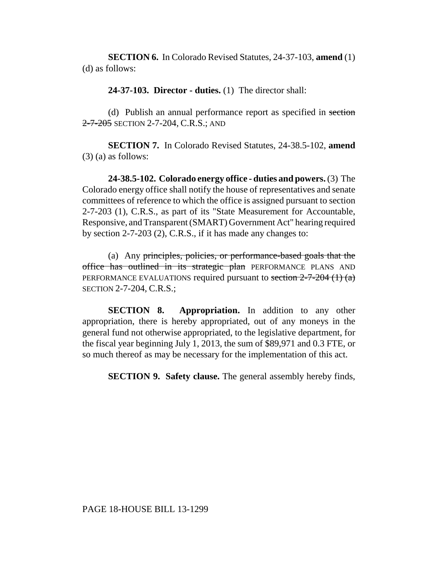**SECTION 6.** In Colorado Revised Statutes, 24-37-103, **amend** (1) (d) as follows:

**24-37-103. Director - duties.** (1) The director shall:

(d) Publish an annual performance report as specified in section 2-7-205 SECTION 2-7-204, C.R.S.; AND

**SECTION 7.** In Colorado Revised Statutes, 24-38.5-102, **amend** (3) (a) as follows:

**24-38.5-102. Colorado energy office - duties and powers.** (3) The Colorado energy office shall notify the house of representatives and senate committees of reference to which the office is assigned pursuant to section 2-7-203 (1), C.R.S., as part of its "State Measurement for Accountable, Responsive, and Transparent (SMART) Government Act" hearing required by section 2-7-203 (2), C.R.S., if it has made any changes to:

(a) Any principles, policies, or performance-based goals that the office has outlined in its strategic plan PERFORMANCE PLANS AND PERFORMANCE EVALUATIONS required pursuant to section  $2-7-204$  (1) (a) SECTION 2-7-204, C.R.S.;

**SECTION 8. Appropriation.** In addition to any other appropriation, there is hereby appropriated, out of any moneys in the general fund not otherwise appropriated, to the legislative department, for the fiscal year beginning July 1, 2013, the sum of \$89,971 and 0.3 FTE, or so much thereof as may be necessary for the implementation of this act.

**SECTION 9. Safety clause.** The general assembly hereby finds,